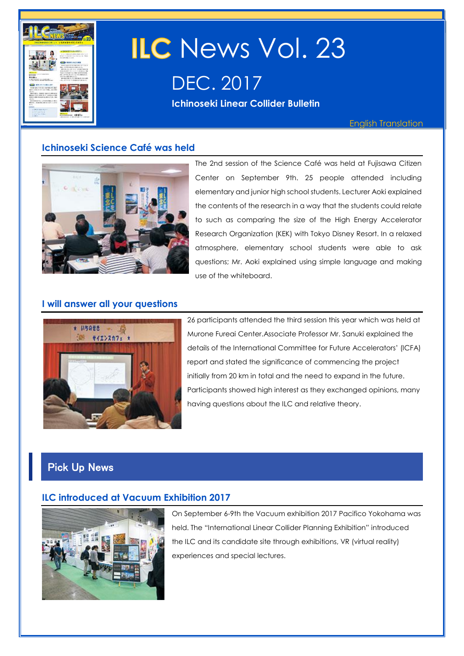

# **ILC** News Vol. 23 DEC. 2017

**Ichinoseki Linear Collider Bulletin** 

English Translation

# **Ichinoseki Science Café was held**



The 2nd session of the Science Café was held at Fujisawa Citizen Center on September 9th. 25 people attended including elementary and junior high school students. Lecturer Aoki explained the contents of the research in a way that the students could relate to such as comparing the size of the High Energy Accelerator Research Organization (KEK) with Tokyo Disney Resort. In a relaxed atmosphere, elementary school students were able to ask questions; Mr. Aoki explained using simple language and making use of the whiteboard.

## **I will answer all your questions**



26 participants attended the third session this year which was held at Murone Fureai Center.Associate Professor Mr. Sanuki explained the details of the International Committee for Future Accelerators' (ICFA) report and stated the significance of commencing the project initially from 20 km in total and the need to expand in the future. Participants showed high interest as they exchanged opinions, many having questions about the ILC and relative theory.

# Pick Up News

# **ILC introduced at Vacuum Exhibition 2017**



On September 6-9th the Vacuum exhibition 2017 Pacifico Yokohama was held. The "International Linear Collider Planning Exhibition" introduced the ILC and its candidate site through exhibitions, VR (virtual reality) experiences and special lectures.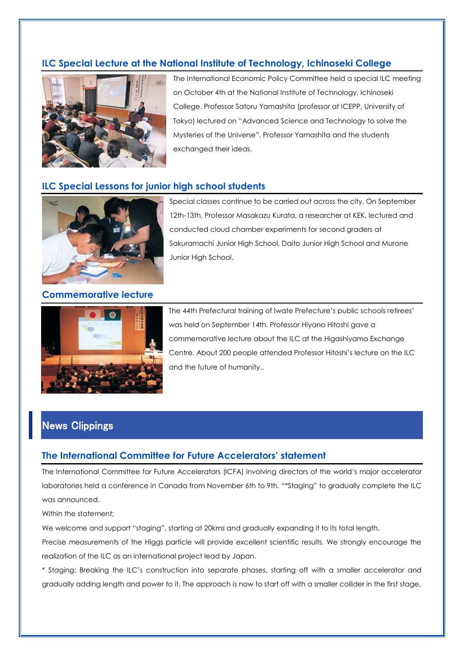# **ILC Special Lecture at the National Institute of Technology, Ichinoseki College**



The International Economic Policy Committee held a special ILC meeting on October 4th at the National Institute of Technology, Ichinoseki College. Professor Satoru Yamashita (professor at ICEPP, University of Tokyo) lectured on "Advanced Science and Technology to solve the Mysteries of the Universe". Professor Yamashita and the students exchanged their ideas.

## **ILC Special Lessons for junior high school students**



Special classes continue to be carried out across the city. On September 12th-13th, Professor Masakazu Kurata, a researcher at KEK, lectured and conducted cloud chamber experiments for second graders at Sakuramachi Junior High School, Daito Junior High School and Murone Junior High School.

**Commemorative lecture**



The 44th Prefectural training of Iwate Prefecture's public schools retirees' was held on September 14th. Professor Hiyano Hitoshi gave a commemorative lecture about the ILC at the Higashiyama Exchange Centre. About 200 people attended Professor Hitoshi's lecture on the ILC and the future of humanity..

# News Clippings

### **The International Committee for Future Accelerators' statement**

The International Committee for Future Accelerators (ICFA) involving directors of the world's major accelerator laboratories held a conference in Canada from November 6th to 9th. "\*Staging" to gradually complete the ILC was announced.

Within the statement;

We welcome and support "staging", starting at 20kms and gradually expanding it to its total length.

Precise measurements of the Higgs particle will provide excellent scientific results. We strongly encourage the realization of the ILC as an international project lead by Japan.

\* Staging: Breaking the ILC's construction into separate phases, starting off with a smaller accelerator and gradually adding length and power to it. The approach is now to start off with a smaller collider in the first stage.